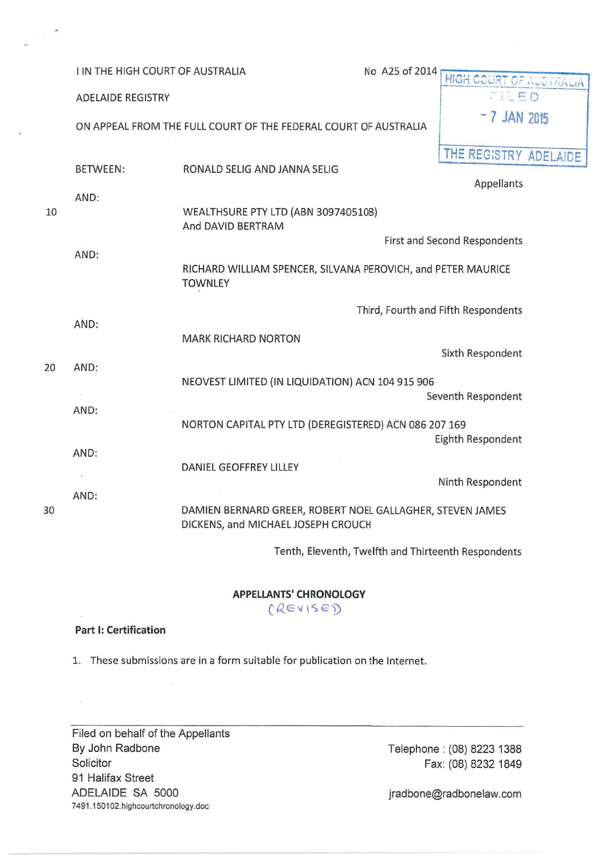I IN THE HIGH COURT OF AUSTRALIA No A25 of 2014 **HIGH COURT OF AUSTRALIA**<br>ADELAIDE REGISTRY **ADELAIDE REGISTRY** ON APPEAL FROM THE FULL COURT OF THE FEDERAL COURT OF AUSTRALIA **7 AM 2015 THE** REG:STRY ADELAIDE BETWEEN: RONALD SELIG AND JANNA SELIG Appellants AND: 10 WEALTHSURE PTY LTD (ABN 3097405108) And DAVID BERTRAM First and Second Respondents AND: RICHARD WILLIAM SPENCER, SILVANA PEROVICH, and PETER MAURICE **TOWNLEY** Third, Fourth and Fifth Respondents AND: MARK RICHARD NORTON Sixth Respondent 20 AND: NEOVEST LIMITED (IN LIQUIDATION) ACN 104 915 906  $\sim$ Seventh Respondent AND: NORTON CAPITAL PTY LTD (DEREGISTERED) ACN 086 207 169 Eighth Respondent AND: DANIEL GEOFFREY LILLEY Ninth Respondent AND: 30 DAM IEN BERNARD GREER, ROBERT NOEL GALLAGHER, STEVEN JAMES DICKENS, and MICHAELJOSEPH CROUCH

Tenth, Eleventh, Twelfth and Thirteenth Respondents

**APPELLANTS' CHRONOLOGY**  (REVISE)

## **Part 1: Certification**

1. These submissions are in a form suitable for publication on the Internet.

Filed on behalf of the Appellants By John Radbone **Solicitor** 91 Halifax Street ADELAIDE SA 5000 7491.150102.highcourtchronology.doc

Telephone : (08) 8223 1388 Fax: (08) 8232 1849

jradbone@radbonelaw.com